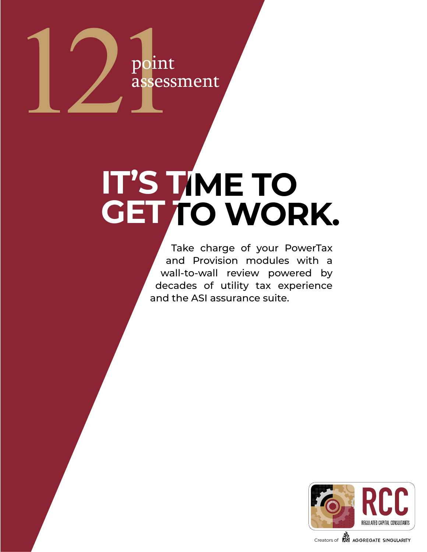

### **IT'S TIME TO GET TO WORK. IT'S TIME TO GET TO WORK.**

Take charge of your PowerTax and Provision modules with a wall-to-wall review powered by decades of utility tax experience and the ASI assurance suite.

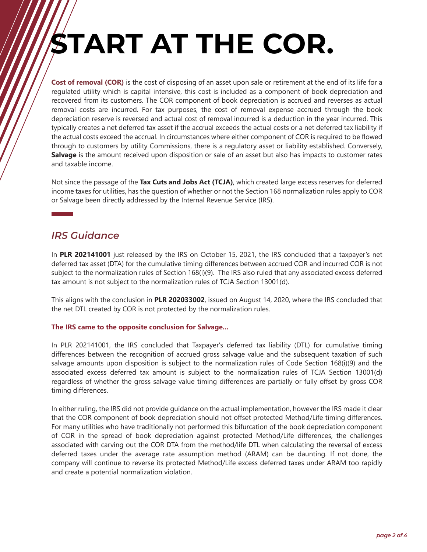# **START AT THE COR.**

**Cost of removal (COR)** is the cost of disposing of an asset upon sale or retirement at the end of its life for a regulated utility which is capital intensive, this cost is included as a component of book depreciation and recovered from its customers. The COR component of book depreciation is accrued and reverses as actual removal costs are incurred. For tax purposes, the cost of removal expense accrued through the book depreciation reserve is reversed and actual cost of removal incurred is a deduction in the year incurred. This typically creates a net deferred tax asset if the accrual exceeds the actual costs or a net deferred tax liability if the actual costs exceed the accrual. In circumstances where either component of COR is required to be flowed through to customers by utility Commissions, there is a regulatory asset or liability established. Conversely, **Salvage** is the amount received upon disposition or sale of an asset but also has impacts to customer rates and taxable income.

Not since the passage of the **Tax Cuts and Jobs Act (TCJA)**, which created large excess reserves for deferred income taxes for utilities, has the question of whether or not the Section 168 normalization rules apply to COR or Salvage been directly addressed by the Internal Revenue Service (IRS).

#### *IRS Guidance*

In **PLR 202141001** just released by the IRS on October 15, 2021, the IRS concluded that a taxpayer's net deferred tax asset (DTA) for the cumulative timing differences between accrued COR and incurred COR is not subject to the normalization rules of Section 168(i)(9). The IRS also ruled that any associated excess deferred tax amount is not subject to the normalization rules of TCJA Section 13001(d).

This aligns with the conclusion in **PLR 202033002**, issued on August 14, 2020, where the IRS concluded that the net DTL created by COR is not protected by the normalization rules.

#### **The IRS came to the opposite conclusion for Salvage...**

In PLR 202141001, the IRS concluded that Taxpayer's deferred tax liability (DTL) for cumulative timing differences between the recognition of accrued gross salvage value and the subsequent taxation of such salvage amounts upon disposition is subject to the normalization rules of Code Section 168(i)(9) and the associated excess deferred tax amount is subject to the normalization rules of TCJA Section 13001(d) regardless of whether the gross salvage value timing differences are partially or fully offset by gross COR timing differences.

In either ruling, the IRS did not provide guidance on the actual implementation, however the IRS made it clear that the COR component of book depreciation should not offset protected Method/Life timing differences. For many utilities who have traditionally not performed this bifurcation of the book depreciation component of COR in the spread of book depreciation against protected Method/Life differences, the challenges associated with carving out the COR DTA from the method/life DTL when calculating the reversal of excess deferred taxes under the average rate assumption method (ARAM) can be daunting. If not done, the company will continue to reverse its protected Method/Life excess deferred taxes under ARAM too rapidly and create a potential normalization violation.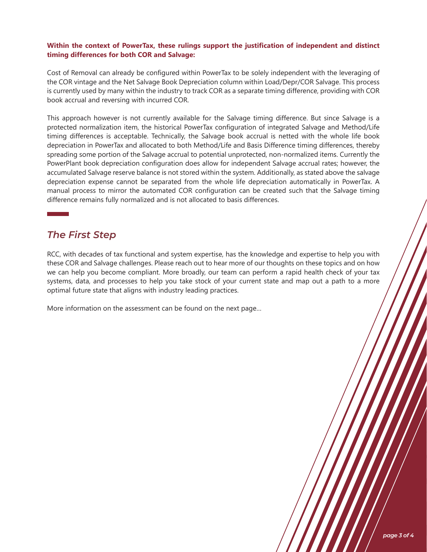#### **Within the context of PowerTax, these rulings support the justification of independent and distinct timing differences for both COR and Salvage:**

Cost of Removal can already be configured within PowerTax to be solely independent with the leveraging of the COR vintage and the Net Salvage Book Depreciation column within Load/Depr/COR Salvage. This process is currently used by many within the industry to track COR as a separate timing difference, providing with COR book accrual and reversing with incurred COR.

This approach however is not currently available for the Salvage timing difference. But since Salvage is a protected normalization item, the historical PowerTax configuration of integrated Salvage and Method/Life timing differences is acceptable. Technically, the Salvage book accrual is netted with the whole life book depreciation in PowerTax and allocated to both Method/Life and Basis Difference timing differences, thereby spreading some portion of the Salvage accrual to potential unprotected, non-normalized items. Currently the PowerPlant book depreciation configuration does allow for independent Salvage accrual rates; however, the accumulated Salvage reserve balance is not stored within the system. Additionally, as stated above the salvage depreciation expense cannot be separated from the whole life depreciation automatically in PowerTax. A manual process to mirror the automated COR configuration can be created such that the Salvage timing difference remains fully normalized and is not allocated to basis differences.

#### *The First Step*

RCC, with decades of tax functional and system expertise, has the knowledge and expertise to help you with these COR and Salvage challenges. Please reach out to hear more of our thoughts on these topics and on how we can help you become compliant. More broadly, our team can perform a rapid health check of your tax systems, data, and processes to help you take stock of your current state and map out a path to a more optimal future state that aligns with industry leading practices.

More information on the assessment can be found on the next page…